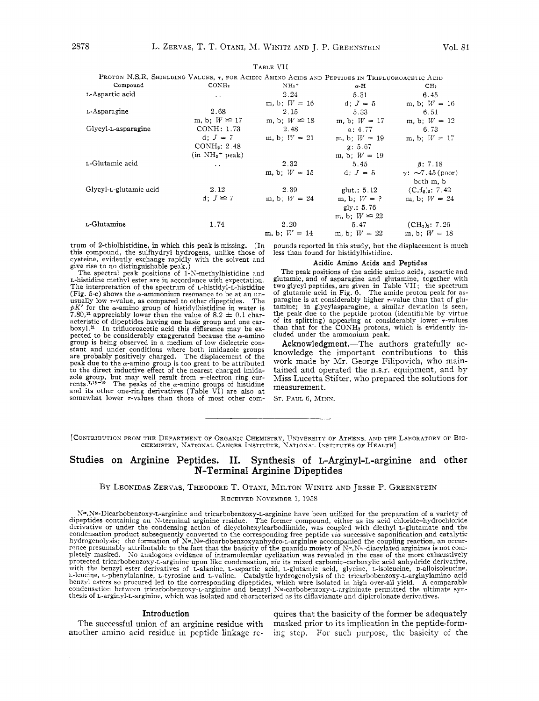TABLE **1'11** 

|                        | PROTON N.S.R. SHIELDING VALUES, 7, FOR ACIDIC AMINO ACIDS AND PEPTIDES IN TRIFLUOROACETIC ACID |                     |                                                |                                        |
|------------------------|------------------------------------------------------------------------------------------------|---------------------|------------------------------------------------|----------------------------------------|
| Compound               | CONH <sub>2</sub>                                                                              | $NH_3$ <sup>+</sup> | $\alpha$ -H                                    | CH <sub>2</sub>                        |
| L-Aspartic acid        | $\sim 10^{-1}$                                                                                 | 2.24                | 5.31                                           | 6.45                                   |
|                        |                                                                                                | m, b; $W = 16$      | d: $J = 5$                                     | m, b; $W = 16$                         |
| t-Asparagine           | 2.68                                                                                           | 2.15                | 5.33                                           | 6.51                                   |
|                        | m, b; $W \approx 17$                                                                           |                     | m, b; $W \le 18$ m, b; $W = 17$ m, b; $W = 12$ |                                        |
| Glycyl-L-asparagine    | CONH: 1.73                                                                                     | 2.48                | a: 4.77                                        | 6.73                                   |
|                        | d; $J = 7$                                                                                     | m, b; $W = 21$      | m, b: $W = 19$                                 | m, b; $W = 17$                         |
|                        | $CONF_2: 2.48$                                                                                 |                     | g: 5.67                                        |                                        |
|                        | $(in NH3+ peak)$                                                                               |                     | m, b; $W = 19$                                 |                                        |
| L-Glutamic acid        | $\sim$ $\sim$                                                                                  | 2.32                | 5.45                                           | $\beta: 7.18$                          |
|                        |                                                                                                | m, b: $W = 15$      | d: $J = 5$                                     | $\gamma$ : $\sim$ 7.45 (poor)          |
|                        |                                                                                                |                     |                                                | both m, b                              |
| Glycyl-L-glutamic acid | 2.12                                                                                           | 2.39                | glut.: $5.12$                                  | $(C12)2$ : 7.42                        |
|                        | d: $J \approx 7$                                                                               | m, b; $W = 24$      | m, b; $W = ?$                                  | m, b: $W = 24$                         |
|                        |                                                                                                |                     | gly.: $5.76$                                   |                                        |
|                        |                                                                                                |                     | m, b; $W \leq 22$                              |                                        |
| L-Glutamine            | 1.74                                                                                           | 2.20                | 5.47                                           | (CH <sub>2</sub> ) <sub>2</sub> : 7.26 |
|                        |                                                                                                |                     | m, b; $W = 14$ m, b; $W = 22$                  | m. b: $W = 18$                         |

trum of 2-thiolhistidine, in which this peak is missing. (In this compound, the sulfhydryl hydrogens, unlike those of cysteine, evidently exchange rapidly with the solvent and give rise to no distinguishable peak.)

#### pounds reported in this study, but the displacement is much less than found for histidylhistidine.

### Acidic Amino Acids and Peptides

The spectral peak positions of 1-S-methylhistidine and L-histidine methyl ester are in accordance with expectation. The interpretation of the spectrum of L-histidyl-L-histidine (Fig. 5-c) shows the  $\alpha$ -ammonium resonance to be at an unusually low  $\tau$ -value, as compared to other dipeptides. The  $pK'$  for the  $\alpha$ -amino group of histidylhistidine in water is 7.80,<sup>21</sup> appreciably lower than the value of 8.2  $\pm$  0.1 characteristic of dipeptides having one basic group and one car-<br>boxyl.<sup>21</sup> In trifluoroacetic acid this difference may be ex-<br>pected to be considerably exaggerated because the  $\alpha$ -amino<br>group is being observed in a medium o group is being observed in a medium of low dielectric constant and under conditions where both imidazole groups are probably positively charged. The displacement of the peak due to the  $\alpha$ -amino group is too great to be to the direct inductive effect of the nearest charged imidazole group, but may well result from  $\pi$ -electron ring cur-<br>rents.<sup>7,16-19</sup> The peaks of the  $\alpha$ -amino groups of histidine and its other one-ring derivatives (Table VI) are also at somewhat lower  $\tau$ -values than those of most other com-

The peak positions of the acidic amino acids, aspartic and glutamic, and of asparagine and glutamine, together with two glycyl peptides, are given in Table VII; the spectrum of glutamic acid in Fig. 6. The amide proton peak for asparagine is at considerably higher  $\tau$ -value than tamine; in glycylasparagine, a similar deviation is seen, the peak due to the peptide proton (identifiable by virtue of its splitting) appearing at considerably lower  $\tau$ -values than that for the  $\text{CONH}_2$  protons, which is evidently included under the ammonium peak.

Acknowledgment.-The authors gratefully acknowledge the important contributions to this work made by Mr. George Filipovich, who maintained and operated the n.s.r. equipment, and by Miss Lucetta Stifter, who prepared the solutions for measurement.

ST. PAUL 6, MINN.

# Studies **on** Arginine Peptides. 11. Synthesis **of** L-Arginyl-L-arginine and other N-Terminal Arginine Dipeptides

## BY LEONIDAS ZERVAS, THEODORE T. OTANI, MILTON WINITZ AND JESSE P. GREENSTEIN

RECEIVED KOVEMBER 1, 1958

N~.Nw-Dicarbobenzoxy-L-arginine and tricarbobenzoxy-L-arginine have been utilized for the preparation of a variety of dipeptides containing an N-terminal arginine residue. The former compound, either as its acid chloride-hydrochloride<br>derivative or under the condensing action of dicyclohexylcarbodiimide, was coupled with diethyl r-glutam condensation product subsequently converted to the corresponding free peptide *via* successive saponification and catalytic<br>hydrogenolysis; the formation of  $N\alpha$ ,  $N\omega$ -dicarbobenzoxyanhydro-L-arginine accompanied the co protected tricarbobenzoxy-L-arginine upon like condensation, *via* its mixed carbonic-carboxylic acid anhydride derivative, with the benzyl ester derivatives of L-alanine, L-aspartic acid, L-glutamic acid, glycine, L-isole thesis of L-arginyl-L-arginine, which was isolated and characterized as its diflavianate and dipicrolonate derivatives.

#### Introduction

The successful union of an arginine residue with another amino acid residue in peptide linkage requires that the basicity of the former be adequately masked prior to its implication in the peptide-forming step. For such purpose, the basicity of the

<sup>[</sup>CONTRIBUTION FROM THE DEPARTMENT OF ORGANIC CHEMISTRY, UNIVERSITY OF ATHENS, AND THE LABORATORY OF BIO-CHEMISTRY, NATIONAL CANCER INSTITUTE, NATIONAL INSTITUTES OF HEALTH]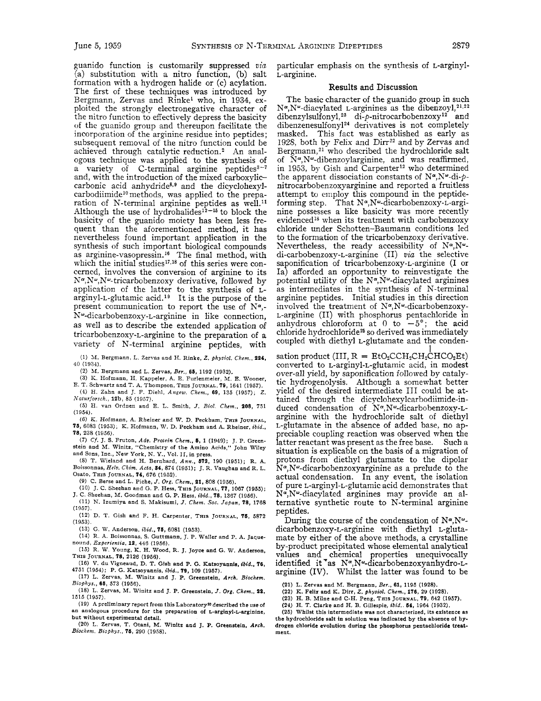guanido function is customarily suppressed *via*  (a) substitution with a nitro function, (b) salt formation with a hydrogen halide or (c) acylation. The first of these techniques was introduced by Bergmann, Zervas and Rinkel who, in 1934, exploited the strongly electronegative character of the nitro function to effectively depress the basicity of the guanido group and thereupon facilitate the incorporation of the arginine residue into peptides; subsequent removal of the nitro function could be achieved through catalytic reduction.<sup>2</sup> An analogous technique was applied to the synthesis of a variety of C-terminal arginine peptides<sup>3-7</sup> and, with the introduction of the mixed carboxyliccarbonic acid anhydride<sup>8,9</sup> and the dicyclohexyl $carbon$  carbodiimide<sup>10</sup> methods, was applied to the preparation of N-terminal arginine peptides as well.<sup>11</sup> Although the use of hydrohalides<sup>12-15</sup> to block the basicity of the guanido moiety has been less frequent than the aforementioned method, it has nevertheless found important application in the synthesis of such important biological compounds as arginine-vasopressin.16 The final method, with which the initial studies<sup>17,18</sup> of this series were concerned, involves the conversion of arginine to its  $N^{\alpha},N^{\omega}$ . tricarbobenzoxy derivative, followed by application of the latter to the synthesis of Larginyl-L-glutamic acid.<sup>19</sup> It is the purpose of the present communication to report the use of  $N^{\alpha}$ ,-Nw-dicarbobenzoxy-L-arginine in like connection, as well as to describe the extended application of tricarbobenzoxy-L-arginine to the preparation of a variety of N-terminal arginine peptides, with

**(1)** M. **Bergmann,** L. **Zervas and H. Rinke,** *Z. phrsiol. Chcm.,* **224,**  *40* (1994).

**(2)** M. **Bergmann and** L. **Zervas,** *Bcr.,* **66, 1192 (1932).** 

**(3) K. Hofmann, H. Kappeler, A. E. Furlenmeier, M, E. Wooner, E. T. Schwartz and** T. **A. Thompson, THIS JOURNAL, 79, 1641 (1957).** 

**(4) H.** Zahn **and J. F. Diehl,** *Angev. Chem.,* **69, 135 (1957);** *Z. Nulurforsch.,* **12b, 85 (1957).** 

*(5)* **H. van Ordnen and E.** L. **Smith,** *J. Biol. Chem..* **208, 751 (1954).** 

(6) *I(.* **Hofmann, A. Rheiner and W. D. Peckham, THIS JOURNAL, 75, 6083 (1953), K. Hofmann, W. D. Peckham and A. Rheiner,** *ibki.,*  **78, 238 (1956).** 

**(7)** Cf. **J. S. Fruton,** *Adu. Pmlein Chcm.,* **6, 1 (1949);** J. **P. Green-stein and** M. **Winitz, "Chemistry** of **the Amino Acids,'' John Wiley** 

**and** Sons, **Inc., New York,** N. *Y.,* Vol. **11, in press.**  *(8)* **T. Wieland and H. Bernhard,** *Ann.,* **672, 190 (1951); R. A. Boissoanas,** *Helu. Chim. Acto,* **S4, 874 (1951); J. R. Vaughan and R.** L. **Osato, THIS JOURNAL, 74, 676 (1952).** 

(9) C. Berse and L. Piche, *J. Org. Chem.*, 21, 808 (1956).

(10) **J. C. Sheehan and** *G.* **P. Hess, THIS JOURNAL,** *77,* 1067 **(1955);** 

**(11)** N. **Izumiya and S. Makisumi,** *J. Chcm. SOC. Japan, 78,* **<sup>1768</sup> J. C. Sheehan,** M. **Goodman and G. P. Hess.** *ibid.,* **78, 1367 (1956). (1957).** 

**(12) D.** T. **Gish and F.** H. **Carpenter, THIS JOURNAL, 76, 5872 (1953).** 

**(13) G.** W. **Anderson,** *ibid.,* **78, 6081 (1953).** 

**(14) R. A. Boissonnas, S. Guttmann, J. P. Waller and P. A. Jaque-**

**nound,** *Experientio, 12,* **446 (1956). (15) R. W.** Young, **K.** H. **Wood, R. J. Joyce and G. W. Anderson, THIS JOURNAL, 78, 2126 (1956).** 

**(16) V. du Vigneaud, D. T. Glsh and P. G. Katsoyannis,** *ibid.,* **76,** 

**4751 (1954); P. G. Katsoyannis,** *ibid.,* **79, 109 (1957). (17) L. Zervas, M. Winitz and J. P. Greenstein,** *Arch. Biochem. Biophys., 66,* **573 (1956).** 

**(18) L. Zervas, M. Winitz and J. P. Greenstein,** *J.* **Ora.** *Chem.,* **22, 1515 (1957).** 

**(19) A preliminary report from this Laboratorya described the use of an analogous procedure** for **the preparation of L-arginyl-L-arginine, but without experimental detail.** 

**(20)** L. **Zervas, T. Otani, M. Winitz and J. P. Greenstein. Arch.**  *Biociicm. Biophys..* **76, 290 (1958).** 

particular emphasis on the synthesis of L-arginyl-L-arginine.

### Results **and** Discussion

The basic character of the guanido group in such  $N^{\alpha}$ , N<sup>o</sup>-diacylated L-arginines as the dibenzoyl,  $2^{1,22}$ dibenzylsulfonyl,<sup>23</sup> di-p-nitrocarbobenzoxy<sup>12</sup> and  $d$ ibenzenesulfonyl<sup>24</sup> derivatives is not completely masked. This fact was established as early as 1928, both by Felix and  $Dirr<sup>22</sup>$  and by Zervas and Bergmann,<sup>21</sup> who described the hydrochloride salt of  $N^{\alpha}$ , N<sup>o</sup>-dibenzoylarginine, and was reaffirmed, in 1953, by Gish and Carpenter<sup>12</sup> who determined the apparent dissociation constants of  $N^{\alpha}$ ,  $N^{\omega}$ -di- $\phi$ nitrocarbobenzoxyarginine and reported a fruitless attempt to employ this compound in the peptideforming step. That  $N^{\alpha}$ , N $^{\omega}$ -dicarbobenzoxy-L-arginine possesses a like basicity was more recently evidenced<sup>18</sup> when its treatment with carbobenzoxy chloride under Schotten-Baumann conditions led to the formation of the tricarbobenzoxy derivative. Nevertheless, the ready accessibility of  $N^{\alpha}$ ,  $N^{\omega}$ di-carbobenzoxy-L-arginine (11) *via* the selective saponification of tricarbobenzoxy-L-arginine (I or Ia) afforded an opportunity to reinvestigate the potential utility of the  $N^{\alpha}$ ,  $N^{\omega}$ -diacylated arginines as intermediates in the synthesis of N-terminal arginine peptides. Initial studies in this direction involved the treatment of  $N^{\alpha}$ ,  $N^{\omega}$ -dicarbobenzoxy-L-arginine (11) with phosphorus pentachloride in anhydrous chloroform at 0 to  $-5^{\circ}$ ; the acid chloride hydrochloride<sup>25</sup> so derived was immediately coupled with diethyl t-glutamate and the conden-

 $\text{station product (III, R = Eto}_{2}CCH_{2}CH_{2}CH_{2}CCO_{2}Et)}$ converted to L-arginyl-L-glutamic acid, in modest over-all yield, by saponification followed by catalytic hydrogenolysis. Although a somewhat better yield of the desired intermediate 111 could be attained through the dicyclohexylcarbodiimide-induced condensation of  $N^{\alpha},N^{\omega}$ -dicarbobenzoxy-Larginine with the hydrochloride salt of diethyl L-glutamate in the absence of added base, no appreciable coupling reaction was observed when the latter reactant was present as the free base. Such a situation is explicable on the basis of a migration of protons from diethyl glutamate to the dipolar  $N^{\alpha}$ , N<sup>o</sup>-dicarbobenzoxyarginine as a prelude to the actual condensation. In any event, the isolation of pure L-arginyl-L-glutamic acid demonstrates that N<sup>a</sup>, N<sup>a</sup>-diacylated arginines may provide an alternative synthetic route to N-terminal arginine peptides.

During the course of the condensation of  $N^{\alpha}$ ,  $N^{\omega}$ dicarbobenzoxy-L-arginine with diethyl L-glutamate by either of the above methods, a crystalline by-product precipitated whose elemental analytical values and chemical properties unequivocally identified it <sup>\*</sup>as N<sup>o</sup>, N<sup>o</sup>-dicarbobenzoxyanhydro-Larginine (IV). Whilst the latter was found to be

**(21) L. Zervas and** M. **Bergmann,** *Be?.,* **61, 1195 (1928). (22) K. Felix and K. Dirr,** *Z. phrsiol. Chem.,* **176, 29 (1928).** 

**(23) H. B. Milne and C-H. Peng, TEIS JOURNAL, 79, 642 (1957).** 

**(24) H. T. Clarke and H. B. Gillespie,** *ibid..* **64, 1964 (1932).** 

**(25) Whilst this intermediate was not characterized, its existence as the hydrochloride salt in solution was indicated by the absence of hpdrogen chloride evolution during the phosphorus pentachloride treatment.**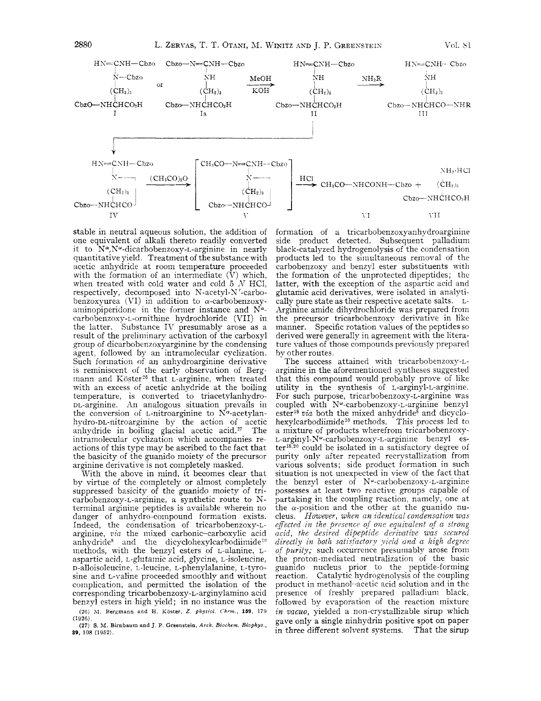

stable in neutral aqueous solution, the addition of one equivalent of alkali thereto readily converted it to N\*,N"-dicarbobenzoxy-L-arginine in nearly quantitative yield. Treatment of the substance with acetic anhydride at room temperature proceeded with the formation of an intermediate  $(V)$  which, when treated with cold water and cold  $5/N$  HCl, respectively, decomposed into N-acetyl-X'-carbobenzoxyurea (VI) in addition to  $\alpha$ -carbobenzoxyaminopiperidone in the former instance and  $N^{\alpha}$ carbobenzoxy-L-ornithine hydrochloride (VII) in the latter. Substance IV presumably arose as a result of the preliminary activation of the carboxyl group of dicarbobenzoxyarginine by the condensing agent, followed by an intramolecular cyclization. Such formation of an anhydroarginine derivative is reminiscent of the early observation of Bergiuann and Koster'6 that L-arginine, when treated with an excess of acetic anhydride at the boiling temperature, is converted to triacetylanhydro-DL-arginine. An analogous situation prevails in the conversion of L-nitroarginine to  $N^{\alpha}$ -acetylanhydro-DL-nitroarginine by the action of acetic anhydride in boiling glacial acetic acid.<sup>27</sup> The intramolecular cyclization which accompanies reactions of this type may be ascribed to the fact that the basicity of the guanido moiety of the precursor arginine derivative is not completely masked.

With the above in mind, it becomes clear that by virtue of the completely or almost completely suppressed basicity of the guanido moiety of tricarbobenzoxy-L-arginine, a synthetic route to Nterminal arginine peptides is available wherein no danger of anhydro-compound formation exists. Indeed, the condensation of tricarbobenzoxy-Larginine, *zia* the mixed carbonic-carboxylic acid anhydride<sup>8</sup> and the dicyclohexylcarbodiimide<sup>10</sup> methods, with the benzyl esters of L-alanine, Laspartic acid, *L*-glutamic acid, glycine, *L*-isoleucine, D-alloisoleucine, L-leucine, L-phenylalanine, L-tyrosine and L-valine proceeded smoothly and without complication, and permitted the isolation of the corresponding tricarbobenzoxy-L-arginylamino acid benzyl esters in high yield; in no instance was the

**(1926). (26)** AI. **Rergmann and** H. **Kaster,** *Z. physioi. ('h~m.,* **159,** 179

**S9,** 108 (1952). **(27)** S. M. **Birnbaum and J. P. Greenstein, Arch.** *Biochem. Biophys.,* 

formation of a tricarbobenzoxyanhydroarginine side product detected. Subsequent palladium black-catalyzed hydrogenolysis of the condensation products led to the simultaneous removal of the carbobenzoxy and benzyl ester substituents with the formation of the unprotected dipeptides; the latter, with the exception of the aspartic acid and glutamic acid derivatives, were isolated in analytically pure state as their respective acetate salts. L-Arginine amide dihydrochloride was prepared from the precursor tricarbobenzoxy derivative in like manner. Specific rotation values of the peptides so derived were generally in agreement with the literature values of those compounds previously prepared by other routes.

The success attained with tricarbobenzoxy-Larginine in the aforementioned syntheses suggested that this compound would probably prove of like utility in the synthesis of L-arginyl-L-arginine. For such purpose, tricarbobenzoxy-L-arginine was coupled with Nw-carbobenzoxy-L-arginine benzyl ester<sup>18</sup> via both the mixed anhydride<sup>8</sup> and dicyclohexylcarbodiimide<sup>10</sup> methods. This process led to a mixture of products wherefrom tricarbobenzoxy-L-arginyl-N"-carbobenzoxy-L-arginine benzyl es $ter^{18,20}$  could be isolated in a satisfactory degree of purity only after repeated recrystallization from various solvents; side product formation in such situation is not unexpected in view of the fact that the benzyl ester of  $N^{\omega}$ -carbobenzoxy-L-arginine possesses at least two reactive groups capable of partaking in the coupling reaction, namely, one at the  $\alpha$ -position and the other at the guanido nucleus. *However, when an identical condensation was effected in the presence of one equivalent of a strong acid, the desired dipeptide derivative was secured d,irectly in both sati\$actosy yield und a high degree qf purity;* such occurrence presumably arose from the proton-mediated neutralization of the basic guanido nucleus prior to the peptide-forming reaction. Catalytic hydrogenolysis of the coupling product in methanol-acetic acid solution and in the presence of freshly prepared palladium black, followed by evaporation of the reaction mixture *in vacuo,* yielded a non-crystallizable sirup which gave only a single ninhydrin positive spot on paper in three different solvent systems. That the sirup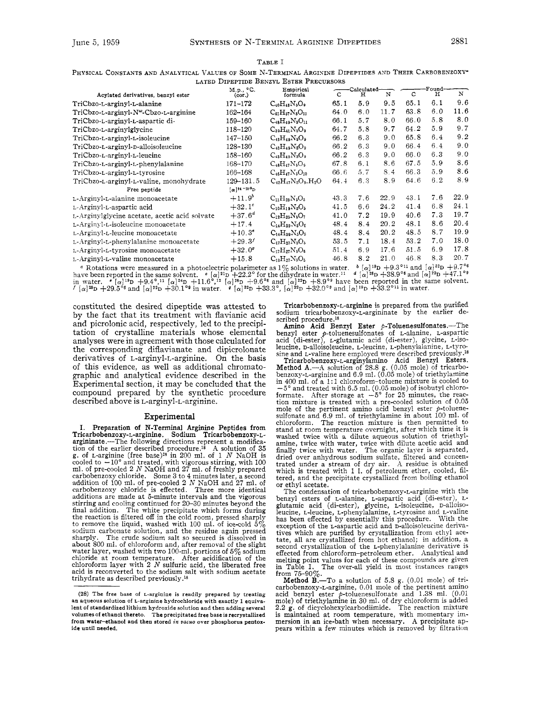|                                                   | M.p., °C.                                      | LAIBD DIPBPIIDB DENZIL ESIBR I RECURSURS<br>-Calculated-<br>Empirical |      |     | -Found- |              |     |      |
|---------------------------------------------------|------------------------------------------------|-----------------------------------------------------------------------|------|-----|---------|--------------|-----|------|
| Acylated derivatives, benzyl ester                | (cor.)                                         | formula                                                               | C    | н   | N       | $\mathbf{C}$ | н   | N    |
| TriCbzo-L-arginyl-L-alanine                       | 171–172                                        | $C_{40}H_{43}N_5O_9$                                                  | 65.1 | 5.9 | 9.5     | 65.1         | 6.1 | 9.6  |
| TriCbzo-L-arginyl-N <sup>w</sup> -Cbzo-L-arginine | 162-164                                        | $C_{61}H_{57}N_8O_{11}$                                               | 64.0 | 6.0 | 11.7    | 63.8         | 6.0 | 11.6 |
| TriCbzo-L-arginyl-L-aspartic di-                  | 159-160                                        | $C_{48}H_{49}N_5O_{11}$                                               | 66.1 | 5.7 | 8.0     | 66.0         | 5.8 | 8.0  |
| TriCbzo-L-arginylglycine                          | 118–120                                        | $C_{39}H_{41}N_5O_9$                                                  | 64.7 | 5.8 | 9.7     | 64.2         | 5.9 | 9.7  |
| TriCbzo-L-arginyl-L-isoleucine                    | 147-150                                        | $C_{43}H_{49}N_5O_9$                                                  | 66.2 | 6.3 | 9.0     | 65.8         | 6.4 | 9.2  |
| TriCbzo-L-arginyl-p-alloisoleucine                | 128-130                                        | $C_{43}H_{49}N_5O_9$                                                  | 66.2 | 6.3 | 9.0     | 66.4         | 6.4 | 9.0  |
| TriCbzo-L-arginyl-L-leucine                       | 158-160                                        | $C_{43}H_{49}N_5O_9$                                                  | 66.2 | 6.3 | 9.0     | 66.0         | 6.3 | 9.0  |
| TriCbzo-L-arginyl-L-phenylalanine                 | 168-170                                        | $C_{48}H_{47}N_6O_9$                                                  | 67.8 | 6.1 | 8.6     | 67.5         | 5.9 | 8.6  |
| TriCbzo-L-arginyl-L-tyrosine                      | 166-168                                        | $C_{46}H_{47}N_5O_{10}$                                               | 66.6 | 5.7 | 8.4     | 66.3         | 5.9 | 8.6  |
| TriCbzo-L-arginyl-L-valine, monohydrate           | $129 - 131.5$                                  | $C_{42}H_{47}N_5O_9$ , $H_2O$                                         | 64.4 | 6.3 | 8.9     | 64.6         | 6.2 | 8.9  |
| Free peptide                                      | $\lbrack \alpha \rbrack^{24}$ – 25 $a_{\rm D}$ |                                                                       |      |     |         |              |     |      |
| L Arginyl-L alanine monoacetate                   | $+11.9^{b}$                                    | $C_{11}H_{23}N_5O_5$                                                  | 43.3 | 7.6 | 22.9    | 43.1         | 7.6 | 22.9 |
| L-Arginyl-L-aspartic acid                         | $+32.1^{\circ}$                                | $C_{10}H_{19}N_5O_5$                                                  | 41.5 | 66  | 24.2    | 41.4         | 6.8 | 24.1 |
| L-Arginylglycine acetate, acetic acid solvate     | $+37.6^{d}$                                    | $C_{12}H_{25}N_bO_7$                                                  | 41.0 | 7.2 | 19.9    | 40.6         | 7.3 | 19.7 |
| L-Arginyl-L-isoleucine monoacetate                | $+17.4$                                        | $C_{14}H_{29}N_5O_5$                                                  | 48.4 | 8.4 | 20.2    | 48.1         | 8.6 | 20.4 |
| L-Arginyl-L-leucine monoacetate                   | $+10.3^{\circ}$                                | $C_{14}H_{29}N_5O_5$                                                  | 48.4 | 8.4 | 20.2    | 48.5         | 8.7 | 19.9 |
| L-Arginyl-L-phenylalanine monoacetate             | $+29.3'$                                       | $C_{17}H_{27}N_5O_5$                                                  | 53.5 | 7.1 | 18.4    | 53.2         | 7.0 | 18.0 |
| L-Arginyl-L-tyrosine monoacetate                  | $+32.0^{\circ}$                                | $C_{17}H_{27}N_5O_6$                                                  | 51.4 | 6.9 | 17.6    | 51.5         | 6.9 | 17.8 |
| L-Arginyl-L-valine monoacetate                    | $+15.8$                                        | $C_{13}H_{27}N_5O_5$                                                  | 46.8 | 8.2 | 21.0    | 46.8         | 8.3 | 20.7 |
|                                                   |                                                |                                                                       |      |     |         |              |     |      |

<sup>4</sup> Rotations were measured in a photoelectric polarimeter as  $1\%$  solutions in water.  $\binom{19}{2}$   $\binom{19}{2}$  +9.3°<sup>11</sup> and  $\binom{3^{2}2}{2}$  +9.7°<sup>6</sup><br>have been reported in the same solvent.  $\binom{19}{2}$  +22.2° for the dihy  $\alpha$  [ $\alpha$ ]<sup>32</sup>D +33.3°, [ $\alpha$ ]<sup>22</sup>D +32.0°<sup>9</sup> and [ $\alpha$ ]<sup>19</sup>D +33.2°<sup>11</sup> in water.

constituted the desired dipeptide was attested to by the fact that its treatment with flavianic acid and picrolonic acid, respectively, led to the precipitation of crystalline materials whose elemental analyses were in agreement with those calculated for the corresponding diflavianate and dipicrolonate derivatives of L-arginyl-L-arginine. On the basis of this evidence, as well as additional chromatographic and analytical evidence described in the Experimental section, it may be concluded that the compound prepared by the synthetic procedure described above is L-arginyl-L-arginine.

#### Experimental

Preparation **of** N-Terminal Arginine Peptides from **I.**  Tricarbobenzoxy-L-arginine. Sodium Tricarbobenzoxy-L-argininate.—The following directions represent a modification of the earlier described procedure.<sup>18</sup> A solution of 35 g, of L-arginine (free base)<sup>28</sup> in 200 ml, of 1 carbobenzoxy chloride. Some 3 to 4 minutes later, a second<br>addition of 100 ml. of pre-cooled 2  $N$  NaOH and 27 ml. of<br>carbobenzoxy chloride is effected. Three more identical<br>additions are made at 5-minute intervals and th final addition. The white precipitate which forms during the reaction is filtered off in the cold room, pressed sharply to remove the liquid, washed with **100** ml. of icecold *5%*  sodium carbonate solution, and the residue again pressed<br>sharply. The crude sodium salt so secured is dissolved in sharply. The crude sodium salt so secured is dissolved in about **800** ml. of chloroform and, after removal of the slight water layer, washed with two **100-ml.** portions of **5%** sodium chloride at room temperature. After acidification of the chloroform layer with **2** *N* sulfuric acid, the liberated free acid is reconverted to the sodium salt with sodium acetate<br>trihydrate as described previously.<sup>18</sup>

Tricarbobenzoxy-L-arginine is prepared from the purified sodium tricarbobenzoxy-L-argininate by the earlier de-

scribed procedure.<sup>18</sup><br>Amino Acid Benzyl Ester p-Toluenesulfonates.—The **Amino Acid Benzyl Ester p-Toluenesulfonates.**-The benzyl ester p-toluenesulfonates of L-alanine, L-aspartic acid (di-ester), L-glutamic acid (di-ester), glycine, L-iso leucine, D-alloisoleucine, L-leucine, L-phenylalanine, L-tYrOsine and L-valine here employed were described previously **.I8** 

Tricarbobenzoxy-L-arginylamino Acid Benzyl Esters.<br>Method A.—A solution of 28.8 g.  $(0.05 \text{ mole})$  of tricarbo-<br>benzoxy-L-arginine and 6.9 ml.  $(0.05 \text{ mole})$  of triethylamine<br>in 400 ml. of a 1:1 chloroform-toluene mixture is c *-5'* and treated with 6.5 ml. **(0.05** mole) of isobutyl chlorotion mixture is treated with a pre-cooled solution of 0.05 mole of the pertinent amino acid benzyl ester  $p$ -toluenesulfonate and **6.9** ml. of triethylamine in about **100** ml. of chloroform. The reaction mixture is then permitted to stand at room temperature overnight, after which time it is washed twice with a dilute aqueous solution of triethylamine, twice with water, twice with dilute acetic acid and finally twice with water. The organic layer is separated, dried over anhydrous sodium sulfate, filtered and concentrated under a stream of dry air. A residue is obtained which is treated with 1 l. of petroleum ether, cooled, filtered, and the precipitate crystallized from boiling ethanol or ethyl acetate.

The condensation of tricarbobenzoxy-L-arginine with the benzyl esters of L-alanine, L-aspartic acid (di-ester), Lglutamic acid (di-ester), glycine, L-isoleucine, D-alloiso-leucine, L-leucine, L-phenylalanine, L-tyrosine and L-valine has been effected by essentially this procedure. With the exception of the L-aspartic acid and D-alloisoleucine deriva-<br>tives which are purified by crystallization from ethyl acetate, all are crystallized from hot ethanol; in addition, a second crystallization of the L-phenylalanine derivative is effected from chloroform-petroleum ether. Analytical and melting point values for each of these compounds are given

in Table I. The over-all yield in most instances ranges<br>from 75-90%.<br>**Method B.**—To a solution of 5.8 **g**. (0.01 mole) of tri-<br>carbobenzoxy-L-arginine, 0.01 mole of the pertinent amino acid benzyl ester 9-toluenesulfonate and 1.38 ml. **(0.01**  mole) of triethylamine in **30** ml. of dry chloroform is added **2.2** g. of **dicyclohexylcarbodiimide.** The reaction mixture is maintained at room temperature, with momentary immersion in **an** ice-bath when necessary. A precipitate appears within a few minutes which is removed by filtration

**<sup>(28)</sup> The free base** of **L-arginine is readily prepared by treating an aqueous solution of L-arginine hydrochloride with exactly 1 equiva**lent of standardized lithium hydroxide solution and then adding several **volumes of ethanol thereto. The precipitated free base is recrystallized from water-ethanol and then stored** *in* **uacuo over phosphorus pentoxide until needed.**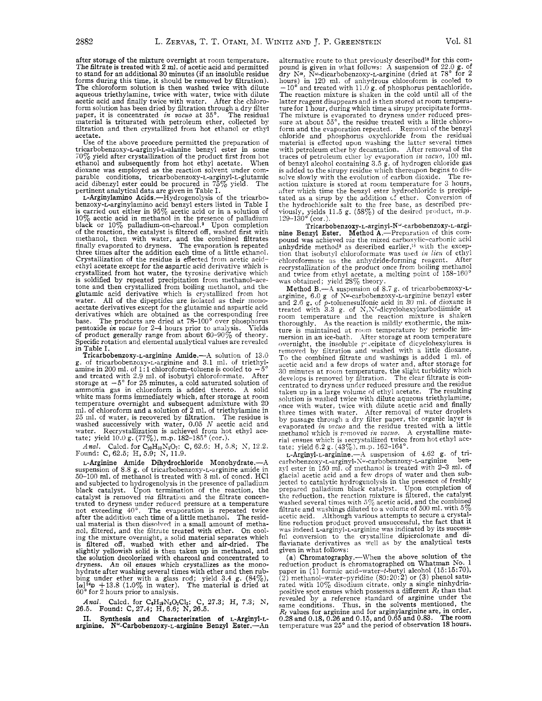after storage of the mixture overnight at room temperature. The filtrate is treated with 2 ml. of acetic acid and permitted to stand for an additional 30 minutes (if an insoluble residue forms during this time, it should be removed by filtration). The chloroform solution is then washed twice with dilute aqueous triethylamine, twice with water, twice with dilute acetic acid and finally twice with water. After the chloroform solution has been dried by filtration through a dry filter paper, it is concentrated *in vacuo* at **35'.** The residual filtration and then crystallized from hot ethanol or ethyl acetate.

Use of the above procedure permitted the preparation of tricarbobenzoxy-L-arginyl-L-alanine benzyl ester in some  $70\%$  yield after crystallization of the product first from hot ethanol and subsequently from hot ethyl acetate. When ethanol and subsequently from hot ethyl acetate. dioxane was employed as the reaction solvent under com-<br>parable conditions, tricarbobenzoxy-t-arginyl-t-glutamic<br>acid dibenzyl ester could be procured in  $75\%$  vield. The acid dibenzyl ester could be procured in  $75\%$  yield. pertinent analytical data are given in Table 1.

L-Arginylamino Acids.-Hydrogenolysis of the tricarbobenzoxy-L-arginylamino acid benzyl esters listed in Table I is carried out either in 95% acetic acid or in a solution of 10% acetic acid in methanol in the presence of palladium black or  $10\%$  palladium-on-charcoal. $^2$  Upon completion of the reaction, the catalyst is filtered off, washed first with methanol, then with water, and the combined filtrates finally evaporated to dryness. The evaporation is repeated three times after the addition each time of a little ethanol. Crystallization of the residue is effected from acetic acidethyl acetate except for the aspartic acid derivative which is crystallized from hot water, the tyrosine derivative which is soldified by repeated precipitation from methanol-acetone and then crystallized from boiling methanol, and the glutamic acid derivative which is crystallized from hot water. All of the dipeptides are isolated as their mono-<br>acetate derivatives except for the glutamic and aspartic acid derivatives which are obtained as the corresponding free base. The products are dried at *i8-100"* over phosphorus pentoxide *in vacuo* for 2-4 hours prior to analysis. Yields of product generally range from about 60-90% of theory. Specific rotation and elemental analytical values are revealed in Table I.

Tricarbobenzoxy-L-arginine Amide.-- A solution of 13.0 g. of tricarbobenzoxy-L-arginine and 3.1 ml. of triethylamine in 200 ml. of 1:1 chloroform-toluene is cooled to  $\cdot$ and treated with 2.9 ml. of isobutyl chloroformate. After storage at *-5"* for 25 minutes, a cold saturated solution of ammonia gas in chloroform is added thereto. **A** solid white mass forms immediately which, after storage at room temperature overnight and subsequent admixture with 20 ml. of chloroform and a solution of 2 ml. of triethylamine in 25 m1. of water, is recovered by filtration. The residue is washed successively with water, 0.05 *N* acetic acid and water. Recrystallization is achieved from hot ethyl ace-<br>tate; yield  $10.0$  g. (77%), m.p.  $182-185^{\circ}$  (cor.).

*Anal.* Calcd. for C<sub>30</sub>H<sub>33</sub>N<sub>5</sub>O<sub>7</sub>: C, 62.6; H, 5.8; N, 12.2. Found: C, 62.5; H, 5.9; N, 11.9.

L-Arginine Amide Dihydrochloride Monohydrate.--- A suspension of 8.8 g. of tricarbobenzoxy-L-arginine amide in 50-100 ml. of methanol is treated with 3 nil. of concd. HCl and subjected to hydrogenolysis in the presence of palladium black catalyst. Upon termination of the reaction, the catalyst is removed *via* filtration and the filtrate concencatalyst is removed *via* filtration and the filtrate concentrated to dryness under reduced pressure at a temperature not exceeding  $40^{\circ}$ . The evaporation is repeated twice after the addition each time of a little methanol. The residual material is then dissolved in a small amount of methanol, filtered, and the filtrate treated with ether. On cooling the mixture overnight, a solid material separates which is filtered off, washed with ether and air-dried. The slightly yellowish solid is then taken **up** in methanol, and the solution decolorized with charcoal and concentrated to dryness. An oil ensues which crystallizes as the mono- hydrate after washing several times with ether and then rubbing under ether with a glass rod; yield 3.4 g.  $(84\%)$ ,  $[\alpha]^{24}\mathbf{p} + 13.8$  (1.0% in water). The material is dried at  $60^{\circ}$  for 2 hours prior to analysis.

*Anal.* Calcd. for C<sub>6</sub>H<sub>19</sub>N<sub>s</sub>O<sub>2</sub>Cl<sub>2</sub>: C, 27.3; H, 7.3; N, 26.5. **Found:** C, 27.4; H, 6.6; N, 26.5.

11. Synthesis and Characterization **of** L-Arginyl-L**arginine. N"-Carbobenzoxy-L-arginine** Benzyl Ester.-An

alternative route to that previously described<sup>18</sup> for this com-<br>pound is given in what follows: A suspension of  $22.0 \text{ g}$ , of dry **Ka,** Nw-dicarbobenzoxy-L-arginine (dried at *78"* for 2 hours) in 120 ml. of anhydrous chloroform is cooled to  $-10^{\circ}$  and treated with 11.0 g. of phosphorus pentachloride. The reaction mixture is shaken in the cold until all of the latter reagent disappears and is then stored at room temperature for 1 hour, during which time a sirupy precipitate forms. sure at about  $55^\circ$ , the residue treated with a little chloroform and the evaporation repeated. Removal of the benzyl chloride and phosphorus oxychloride from the residual material is effected upon rvashing the latter several times with petroleum ether by decantation. After removal of the traces of petroleum ether by evaporation *in i'ucuo,* 100 ml. of benzyl alcohol containing 3.5 g. of hydrogen chloride gas is added to the sirupy residue which thereupon begins to dissolve slowly with the evolution of carbon dioxide. The reaction mixture is stored at room temperature for 3 hours, after which time the benzyl ester hydrochloride is precipitated as a sirup by the addition of ether. Conversion of the hydrochloride salt to the free base, as described pre-<br>viously, yields 11.5 g. (58%) of the desired product, m.p.<br>129–130° (cor.).

Tricarbobenzoxy-L-arginyl-N<sup>w</sup>-carbobenzoxy-L-argi-<br>nine Benzyl Ester. Method A.—Preparation of this compound was achieved *via* the mixed carboxylic-carbonic acid anhydride method<sup>8</sup> as described earlier,<sup>18</sup> with the exception that isobutyl chloroformate was used *in lieu* of ethyl chloroformate as the anhydride-forming reagent. After recrystallization of the product once from boiling methanol and twice from ethyl acetate, a melting point of  $158-160^{\circ}$  was obtained; yield  $28\%$  theory.

Method B.-A suspension of 8.7 g. of tricarbobenzoxy-Larginine, 6.0 g of Xu-carbobenzoxy-L-arginine benzyl ester and 2.6 g. of p-toiuenesulfonic acid in 30 ml. of dioxane is treated with 3.3 g. of N,N'-dicyclohexylcarbodiimide at<br>room temperature and the reaction mixture is shaken thoroughly. As the reaction is mildly exothermic, the mixture is maintained at room temperature by periodic immersion in an ice-bath. Xfter storage at room temperature overnight, the insoluble piecipitate of dicyclohexylurea is<br>removed by filtration and washed with a little dioxane. To the combined filtrate and washings is added 1 ml. of acetic acid and a few drops of water and, after storage for *30* minutes at room temperature, the slight turbidity which develops is removed *by* filtration. The clear filtrate is conrentrated to dryness under reduced pressure and the residue taken up in a large volume of ethyl acetate. The resulting once with water, twice with dilute acetic acid and finally three times with water. After removal of mater droplets by passage through a dry filter paper, the organic layer is evaporated *in vacuo* and the residue treated with a little methanol which is removed *in vacuo*. A crystalline material ensues which is **I** recrystallized twice from hot ethyl ace-<br>tate; yield 6.2 g. (43%), m.p. 162-164°.

L-Arginyl-L-arginine.- $A$  suspension of 4.62 g. of tricarhobenzoxy-L-arginpl-S~-carbobenzoxy-L-arginine benzyl ester in 150 ml. of methanol is treated with 2-3 ml. of glacial acetic acid and a few drops of water and then subjected. to catalytic hydrogenolysis in the presence of freshly prepared palladium black catalyst. Upon completion Of the reduction, the reaction mixture is filtered, the catalyst mashrd several times with *5%* acetic acid, and the combined filtrate and washings diluted to a volume of 500 ml. with  $5\%$ acetic acid. Although various attempts to secure a crystalline reduction product proved unsuccessful, the fact that it was indeed L-arginyl-L-arginine was indicated by its success- ful conversion to the crystalline dipicrolonate and diflavianate derivatives **as** \vel1 as by the analytical tests given in what follows:

(a) Chromatography.---When the above solution of the reduction product is chromatographed on Whatman **NO. 1**  paper in (1) formic acid-water-t-butyl alcohol (15:15:70), (2) methanol-water-pyridine (80:20:2) or (3) phenol saturated with 10% disodium citrate, only a single ninhydrinpositive spot ensues which possesses a different *Rr* than that revealed by a reference standard of arginine under the same conditions, Thus, in the solvents mentioned, the *Rr* values for arginine and for arginylarginine are, in order, 0.28 and 0.18, 0.26 and 0.15, and 0.65 and **0.83.** The room temperature was **25"** and the period of observation 18 hours.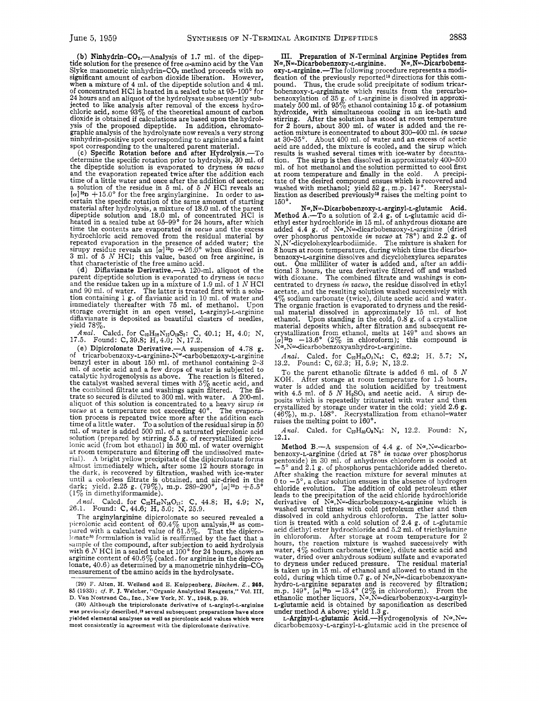(b) Ninhydrin- $CO<sub>2</sub>$ .—Analysis of 1.7 ml. of the dipeptide solution for the presence of free  $\alpha$ -amino acid by the Van Slyke manometric ninhydrin–CO<sub>2</sub> method proceeds with no significant amount of carbon dioxide liberation. However, when a mixture of 4 ml. of the dipeptide solution and 4 ml. of concentrated HCl is heated in a sealed tube at 95-100" for 24 hours and an aliquot of the hydrolysate subsequently subjected to like analysis after removal of the excess hydro-chloric acid, some 9370 of the theoretical amount of carbon dioxide is obtained if calculations are based upon the hydrol-ysis of the proposed dipeptide. In addition, chromatographic analysis of the hydrolysate now reveals a very strong ninhydrin-positive spot corresponding to arginine and a faint

spot corresponding to the unaltered parent material.<br>
(c) Specific Rotation before and after Hydrolysis.—To determine the specific rotation prior to hydrolysis, 30 ml. of the dipeptide solution is evaporated to dryness *in vacuo*  and the evaporation repeated twice after the addition each time of a little water and once after the addition of acetone; a solution of the residue in 5 ml. of 5 *N* HCl reveals an  $[\alpha]^{26}D + 15.0^{\circ}$  for the free arginylarginine. In order to as-<br>certain the specific rotation of the same amount of starting material after hydrolysis, a mixture of 18.0 ml. of the parent dipeptide solution and 18.0 ml. of concentrated HCl is heated in a sealed tube at 95-99' for 24 hours, after which time the contents are evaporated *in vacuo* and the excess hydrochloric acid removed from the residual material by repeated evaporation in the presence of added water; the sirupy residue reveals an  $[\alpha]^{25}D + 26.0^{\circ}$  when dissolved in 3 ml. of 5 N HCl; this value, based on free arginine, is that characteristic of the free amino acid

(d) Diflavianate Derivative.-A 120-ml. aliquot of the parent dipeptide solution is evaporated to dryness *in vacuo* and the residue taken **up** in a mixture of 1.9 ml. of 1 *N* HC1 and 90 ml. of water. The latter is treated first with a solu-tion containing 1 g. of flavianic acid in 10 ml. of water and immediately thereafter with 75 ml. of methanol. Upon storage overnight in an open vessel, L-arginyl-L-arginine diflavianate is deposited as beautiful clusters of needles, yield 78 $\%$ .

*Anal.* Calcd. for C<sub>32</sub>H<sub>38</sub>N<sub>12</sub>O<sub>19</sub>S<sub>2</sub>: C, 40.1; H, 4.0; N, 17.5. Found: C, 39.8; H, 4.0; N, 17.2. Found: C,39.8; H,4.0; N, 17.2.

(e) Dipicrolonate Derivative.- $A$  suspension of 4.78 g. of tricarbobenzoxy-L-arginine-N<sup>o-</sup>carbobenzoxy-L-arginine benzyl ester in about 150 ml. of methanol containing 2-3 ml. of acetic acid and a few drops of water is subjected to catalytic hydrogenolysis as above. The reaction is filtered, the catalyst washed several times with  $5\%$  acetic acid, and the combined filtrate and washings again filtered. The filtrate so secured is diluted to 300 ml. with water. A 200-ml. aliquot of this solution is concentrated to a heavy sirup *in*  $\textit{vacuo}$  at a temperature not exceeding  $40^{\circ}$ . The evapora*vacuo* at a temperature not exceeding 40°. tion process is repeated twice more after the addition each time of a little water. To a solution of the residual sirup in 50 ml. of water is added 500 ml. of a saturated picrolonic acid solution (prepared by stirring 5.5 g. of recrystallized picro-lonic acid (from hot ethanol) in 500 ml. of water overnight at room temperature and filtering off the undissolved material). **.1** bright yellow precipitate of the dipicrolonate forms almost immediately which, after some 12 hours storage in the dark, is recovered by filtration, washed with ice-water until a colorless filtrate is obtained, and air-dried in the dark; yield, 2.25 g. (79%), m.p. 289–290°, [a]25p +5.5<br>(1% in dimethylformamide).

*Anal.* Calcd. for C<sub>32</sub>H<sub>42</sub>N<sub>16</sub>O<sub>13</sub>: C, 44.8; H, 4.9; N, 26.1. Found: C, 44.6; H, 5.0; N, 25.9.

The arginylarginine dipicrolonate so secured revealed a picrolonic acid content of  $60.4\%$  upon analysis,<sup>29</sup> as com-<br>pared with a calculated value of  $61.5\%$ . That the dipicrolonate30 formulation is valid is reaffirmed by the fact that a sample of the compound, after subjection to acid hydrolysis sample of the compound, after subjection to acid hydrolysis<br>with 6  $N$  HCl in a sealed tube at 100 $^{\circ}$  for 24 hours, shows an<br>arginine content of  $40.6\%$  (calcd. for arginine in the dipicrolonate,  $40.6$ ) as determined by a manometric ninhydrin-CO<sub>2</sub> measurement of the amino acids in the hydrolysate.

**(29)** F. **Alten, H. Weiland and E. Knippenherg,** *Biockem. Z.,* **266, 85 (1933);** *cf.* **F. J. Welcher, "Organic Analytical Reagents," Vol. 111,**  D. Van Nostrand Co., Inc., New York, N. Y., 1948, p. 39.

**111.** Preparation **of** N-Terminal Arginine Peptides from Na, N<sub>w-</sub>Dicarbobenzoxy-L-arginine. oxy-L-arginine.-The following procedure represents a modification of the previously reported18 directions for this com- pound. Thus, the crude solid precipitate of sodium tricarbobenzoxy-L-argininate which results from the percarbobenzoxylation of 35 g. of *L*-arginine is dissolved in approximately 500 ml. of  $95\%$  ethanol containing 15 g. of potassium hydroxide, with simultaneous cooling in an ice-bath and stirring. After the solution has stood at room temperature for 2 hours, about 300 ml. of water is added and the re- action mixture is concentrated to about 300-400 nd. *in vacuo*  About 400 ml. of water and an excess of acetic acid are added, the mixture is cooled, and the sirup which results is washed several times with ice-water by decanta-<br>tion. The sirup is then dissolved in approximately  $400-500$ The sirup is then dissolved in approximately 400-500 ml. of hot methanol and the solution permitted to cool first<br>at room temperature and finally in the cold. A precipiat room temperature and finally in the cold. tate of the desired compound ensues which is recovered and washed with methanol; yield 52 g., m.p. 147°. Recrystallization as described previously<sup>18</sup> raises the melting point to 150'.

**Na,N~-Dicarbobenzoxy-L-arginyl-L-glutamic** Acid. Method A.-To a solution of 2.4 g. of L-glutamic acid di-<br>ethyl ester hydrochloride in 15 ml. of anhydrous dioxane are ethyl ester hydrochloride in 15 ml. of anhydrous dioxane are<br>added 4.4 g. of  $N\alpha, N\omega$ -dicarbobenzoxy-L-arginine (dried<br>over phosphorus pentoxide *in vacuo* at 78°) and 2.2 g. of<br>N,N'-dicyclohexylcarbodiimide. The mixture benzoxy-L-arginine dissolves and dicyclohexylurea separates out. One milliliter of water is added and, after an additional 3 hours, the urea derivative filtered off and washed with dioxane. The combined filtrate and washings is concentrated to dryness *in vacuo*, the residue dissolved in ethyl acetate, and the resulting solution washed successively with  $\%$  sodium carbonate (twice), dilute acetic acid and water. The organic fraction is evaporated to dryness and the residual material dissolved in approximately 15 ml. of hot ethanol. Upon standing in the cold, 0.8 g, of a crystalline<br>material deposits which, after filtration and subsequent re-<br>crystallization from ethanol, melts at 149° and shows an<br> $[\alpha]^{25}D -13.6$ ° (2% in chloroform); this c  $N^{\alpha}$ , N<sup>ω</sup>-dicarbobenzoxyanhydro-L-arginine.

*Anal.* Calcd. for C<sub>22</sub>H<sub>24</sub>O<sub>5</sub>N<sub>4</sub>: C, 62.2; H, 5.7; N, 13.2. Found: C, 62.3; H, 5.9; N, 13.2.

To the parent ethanolic filtrate is added 6 ml. of 5 *N*  KOH. After storage at room temperature for 1.5 hours, water is added and the solution acidified by treatment with 4.5 ml. of 5 *N* H<sub>2</sub>SO<sub>4</sub> and acetic acid. A sirup deposits which is repeatedly triturated with water and then crystallized by storage under water in the cold; yield  $2.6$  g. (46%), m.p. 158°. Recrystallization from ethanol-water raises the melting point to 160'.

*Anal.* Calcd. for C27H3309N6: **X,** 12.2. Found: **h',**  12.1.

Method B.—A suspension of 4.4 g. of  $N^{\alpha}$ ,  $N^{\omega}$ -dicarbo-<br>benzoxy-L-arginine (dried at 78° *in vacuo* over phosphorus pentoxide) in 30 ml. of anhydrous chloroform is cooled at  $-5^{\circ}$  and 2.1 g. of phosphorus pentachloride added thereto. After shaking the reaction mixture for several minutes at  $0$  to  $-5^\circ$ , a clear solution ensues in the absence of hydrogen chloride evolution. The addition of cold petroleum ether leads to the precipitation of the acid chloride hydrochloride derivative of  $N^{\alpha}$ , N<sup>a</sup>-dicarbobenzoxy-L-arginine which is washed several times with cold petroleum ether and then dissolved in cold anhydrous chloroform. The latter solu-tion is treated with a cold solution of 2.4 g. of L-glutamic acid diethyl ester hydrochloride and 5.2 ml. of triethylamine in chloroform. After storage at room temperature for 2 hours, the reaction mixture is washed successively with water,  $4\%$  sodium carbonate (twice), dilute acetic acid and water, dried over anhydrous sodium sulfate and evaporated to dryness under reduced pressure. The residual material to dryness under reduced pressure. The residual material is taken up in 15 ml. of ethanol and allowed to stand in the cold, during which time 0.7 g. of Nα, Nα-dicarbobenzoxyan-<br>hydro-L-arginine separates and is recovered by filtration;<br>m.p. 149°, [α]<sup>26</sup>D -13.4° (2% in chloroform). From the ethanolic mother liquors, Na,Nw-dicarbobenzoxy-L-arginy L-glutamic acid is obtained by saponification as described

under method A above; yield 1.3 g.<br>L-Arginyl-L-glutamic Acid.—Hydrogenolysis of N¤,Nωdicarbobenzoxy-L-arginyl-L-glutamic acid in the presence of

**<sup>(30)</sup> Although the tripicrolonate derivative of L-arginyl-L-arginine**  was previously described,<sup>19</sup> several subsequent preparations have since **yielded elemental analyses as well as picrolonic acid values which were most consistently in agreement with the dipicrolonate derivative.**